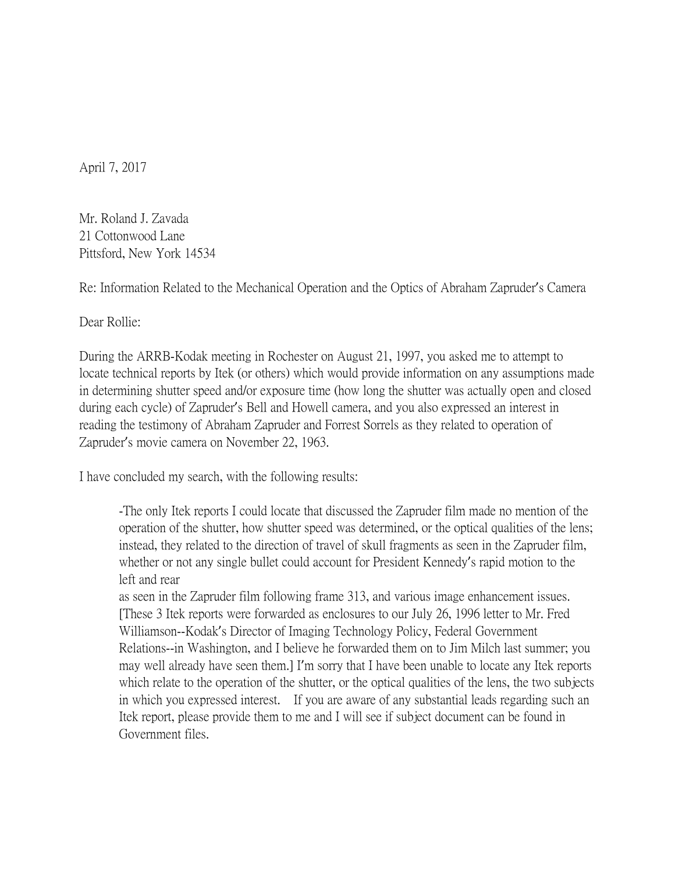April 7, 2017

Mr. Roland J. Zavada 21 Cottonwood Lane Pittsford, New York 14534

Re: Information Related to the Mechanical Operation and the Optics of Abraham Zapruder's Camera

Dear Rollie:

During the ARRB-Kodak meeting in Rochester on August 21, 1997, you asked me to attempt to locate technical reports by Itek (or others) which would provide information on any assumptions made in determining shutter speed and/or exposure time (how long the shutter was actually open and closed during each cycle) of Zapruder's Bell and Howell camera, and you also expressed an interest in reading the testimony of Abraham Zapruder and Forrest Sorrels as they related to operation of Zapruder's movie camera on November 22, 1963.

I have concluded my search, with the following results:

-The only Itek reports I could locate that discussed the Zapruder film made no mention of the operation of the shutter, how shutter speed was determined, or the optical qualities of the lens; instead, they related to the direction of travel of skull fragments as seen in the Zapruder film, whether or not any single bullet could account for President Kennedy's rapid motion to the left and rear

as seen in the Zapruder film following frame 313, and various image enhancement issues. [These 3 Itek reports were forwarded as enclosures to our July 26, 1996 letter to Mr. Fred Williamson--Kodak's Director of Imaging Technology Policy, Federal Government Relations--in Washington, and I believe he forwarded them on to Jim Milch last summer; you may well already have seen them.] I'm sorry that I have been unable to locate any Itek reports which relate to the operation of the shutter, or the optical qualities of the lens, the two subjects in which you expressed interest. If you are aware of any substantial leads regarding such an Itek report, please provide them to me and I will see if subject document can be found in Government files.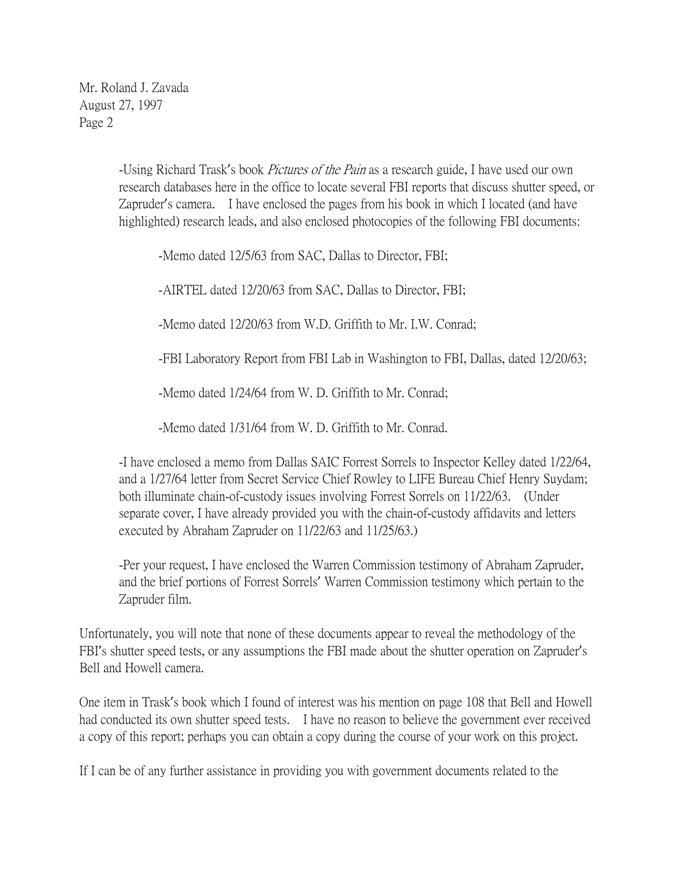Mr. Roland J. Zavada August 27, 1997 Page 2

> -Using Richard Trask's book *Pictures of the Pain* as a research guide, I have used our own research databases here in the office to locate several FBI reports that discuss shutter speed, or Zapruder's camera. I have enclosed the pages from his book in which I located (and have highlighted) research leads, and also enclosed photocopies of the following FBI documents:

-Memo dated 12/5/63 from SAC, Dallas to Director, FBI;

-AIRTEL dated 12/20/63 from SAC, Dallas to Director, FBI;

-Memo dated 12/20/63 from W.D. Griffith to Mr. I.W. Conrad;

-FBI Laboratory Report from FBI Lab in Washington to FBI, Dallas, dated 12/20/63;

-Memo dated 1/24/64 from W. D. Griffith to Mr. Conrad;

-Memo dated 1/31/64 from W. D. Griffith to Mr. Conrad.

-I have enclosed a memo from Dallas SAIC Forrest Sorrels to Inspector Kelley dated 1/22/64, and a 1/27/64 letter from Secret Service Chief Rowley to LIFE Bureau Chief Henry Suydam; both illuminate chain-of-custody issues involving Forrest Sorrels on 11/22/63. (Under separate cover, I have already provided you with the chain-of-custody affidavits and letters executed by Abraham Zapruder on 11/22/63 and 11/25/63.)

-Per your request, I have enclosed the Warren Commission testimony of Abraham Zapruder, and the brief portions of Forrest Sorrels' Warren Commission testimony which pertain to the Zapruder film.

Unfortunately, you will note that none of these documents appear to reveal the methodology of the FBI's shutter speed tests, or any assumptions the FBI made about the shutter operation on Zapruder's Bell and Howell camera.

One item in Trask's book which I found of interest was his mention on page 108 that Bell and Howell had conducted its own shutter speed tests. I have no reason to believe the government ever received a copy of this report; perhaps you can obtain a copy during the course of your work on this project.

If I can be of any further assistance in providing you with government documents related to the